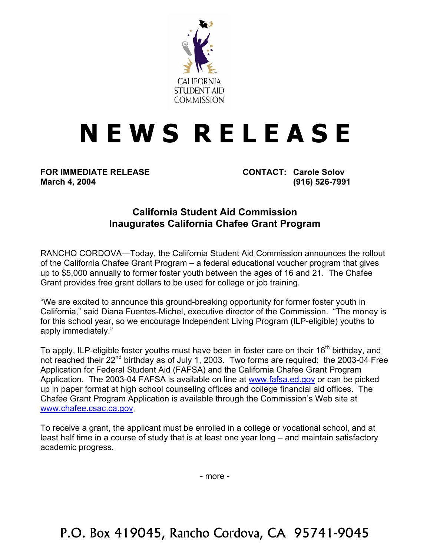

## **N E W S R E L E A S E**

**FOR IMMEDIATE RELEASE CONTACT: Carole Solov March 4, 2004 (916) 526-7991** 

## **California Student Aid Commission Inaugurates California Chafee Grant Program**

RANCHO CORDOVA—Today, the California Student Aid Commission announces the rollout of the California Chafee Grant Program – a federal educational voucher program that gives up to \$5,000 annually to former foster youth between the ages of 16 and 21. The Chafee Grant provides free grant dollars to be used for college or job training.

"We are excited to announce this ground-breaking opportunity for former foster youth in California," said Diana Fuentes-Michel, executive director of the Commission. "The money is for this school year, so we encourage Independent Living Program (ILP-eligible) youths to apply immediately."

To apply, ILP-eligible foster youths must have been in foster care on their 16<sup>th</sup> birthday, and not reached their 22<sup>nd</sup> birthday as of July 1, 2003. Two forms are required: the 2003-04 Free Application for Federal Student Aid (FAFSA) and the California Chafee Grant Program Application. The 2003-04 FAFSA is available on line at [www.fafsa.ed.gov](http://www.fafsa.ed.gov/) or can be picked up in paper format at high school counseling offices and college financial aid offices. The Chafee Grant Program Application is available through the Commission's Web site at [www.chafee.csac.ca.gov.](http://www.csac.ca.gov/)

To receive a grant, the applicant must be enrolled in a college or vocational school, and at least half time in a course of study that is at least one year long – and maintain satisfactory academic progress.

- more -

P.O. Box 419045, Rancho Cordova, CA 95741-9045